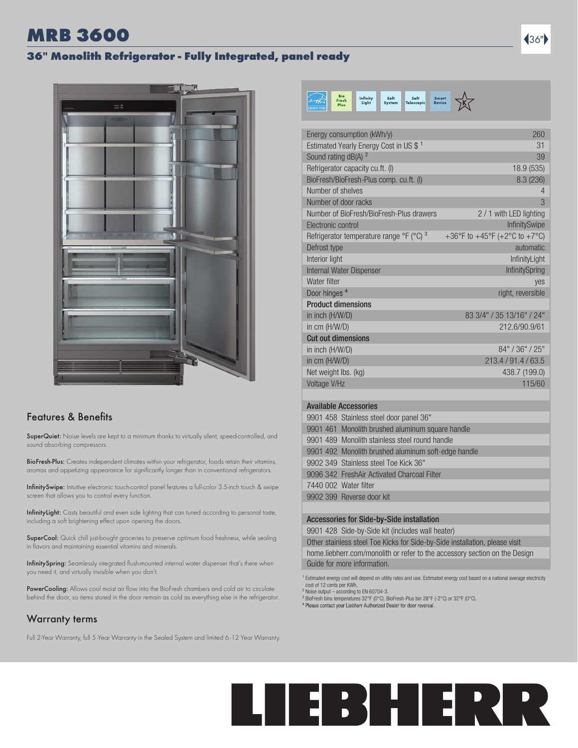### **MRB 3600 3600 36 and 36 and 36 and 36 and 36 and 36 and 36 and 36 and 36 and 36 and 36 and 36 and 36 and 36 an**

#### 36" Monolith Refrigerator - Fully Integrated, panel ready



#### Features & Benefits

SuperQuiet: Noise levels are kept to a minimum thanks to virtually silent, speed-controlled, and sound absorbing compressors.

BioFresh-Plus: Creates independent climates within your refrigerator, foods retain their vitamins, aromas and appetizing appearance for significantly longer than in conventional refrigerators.

InfinitySwipe: Intuitive electronic touch-control panel features a full-color 3.5-inch touch & swipe screen that allows you to control every function.

InfinityLight: Casts beautiful and even side lighting that can tuned according to personal taste, including a soft brightening effect upon opening the doors.

SuperCool: Quick chill just-bought groceries to preserve optimum food freshness, while sealing in flavors and maintaining essential vitamins and minerals.

InfinitySpring: Seamlessly integrated flush-mounted internal water dispenser that's there when you need it, and virtually invisible when you don't.

PowerCooling: Allows cool moist air flow into the BioFresh chambers and cold air to circulate behind the door, so items stored in the door remain as cold as everything else in the refrigerator.

### Warranty terms

Full 2-Year Warranty, full 5-Year Warranty in the Sealed System and limited 6 -12 Year Warranty.



| Energy consumption (kWh/y)                          | 260                           |
|-----------------------------------------------------|-------------------------------|
| Estimated Yearly Energy Cost in US \$ <sup>1</sup>  | 31                            |
| Sound rating dB(A) <sup>2</sup>                     | 39                            |
| Refrigerator capacity cu.ft. (I)                    | 18.9 (535)                    |
| BioFresh/BioFresh-Plus comp. cu.ft. (I)             | 8.3(236)                      |
| Number of shelves                                   | 4                             |
| Number of door racks                                | 3                             |
| Number of BioFresh/BioFresh-Plus drawers            | 2 / 1 with LED lighting       |
| Electronic control                                  | <b>InfinitySwipe</b>          |
| Refrigerator temperature range °F (°C) <sup>3</sup> | +36°F to +45°F (+2°C to +7°C) |
| Defrost type                                        | automatic                     |
| Interior light                                      | InfinityLight                 |
| Internal Water Dispenser                            | InfinitySpring                |
| Water filter                                        | ves                           |
| Door hinges <sup>4</sup>                            | right, reversible             |
| <b>Product dimensions</b>                           |                               |
| in inch (H/W/D)                                     | 83 3/4" / 35 13/16" / 24"     |
| in cm (H/W/D)                                       | 212.6/90.9/61                 |
| <b>Cut out dimensions</b>                           |                               |
| in inch (H/W/D)                                     | 84" / 36" / 25"               |
| in cm (H/W/D)                                       | 213.4 / 91.4 / 63.5           |
| Net weight lbs. (kg)                                | 438.7 (199.0)                 |
| Voltage V/Hz                                        | 115/60                        |
|                                                     |                               |

#### Available Accessories

| 9901 458 Stainless steel door panel 36"             |
|-----------------------------------------------------|
| 9901 461 Monolith brushed aluminum square handle    |
| 9901 489 Monolith stainless steel round handle      |
| 9901 492 Monolith brushed aluminum soft-edge handle |
| 9902 349 Stainless steel Toe Kick 36"               |
| 9096 342 FreshAir Activated Charcoal Filter         |
| 7440 002 Water filter                               |
| 9902 399 Reverse door kit                           |
|                                                     |

#### Accessories for Side-by-Side installation

9901 428 Side-by-Side kit (includes wall heater)

Other stainless steel Toe Kicks for Side-by-Side installation, please visit home.liebherr.com/monolith or refer to the accessory section on the Design Guide for more information.

<sup>1</sup> Estimated energy cost will depend on utility rates and use. Estimated energy cost based on a national average electricity cost of 12 cents per KWh. ² Noise output – according to EN 60704-3.

³ BioFresh bins temperatures 32°F (0°C). BioFresh-Plus bin 28°F (-2°C) or 32°F (0°C).